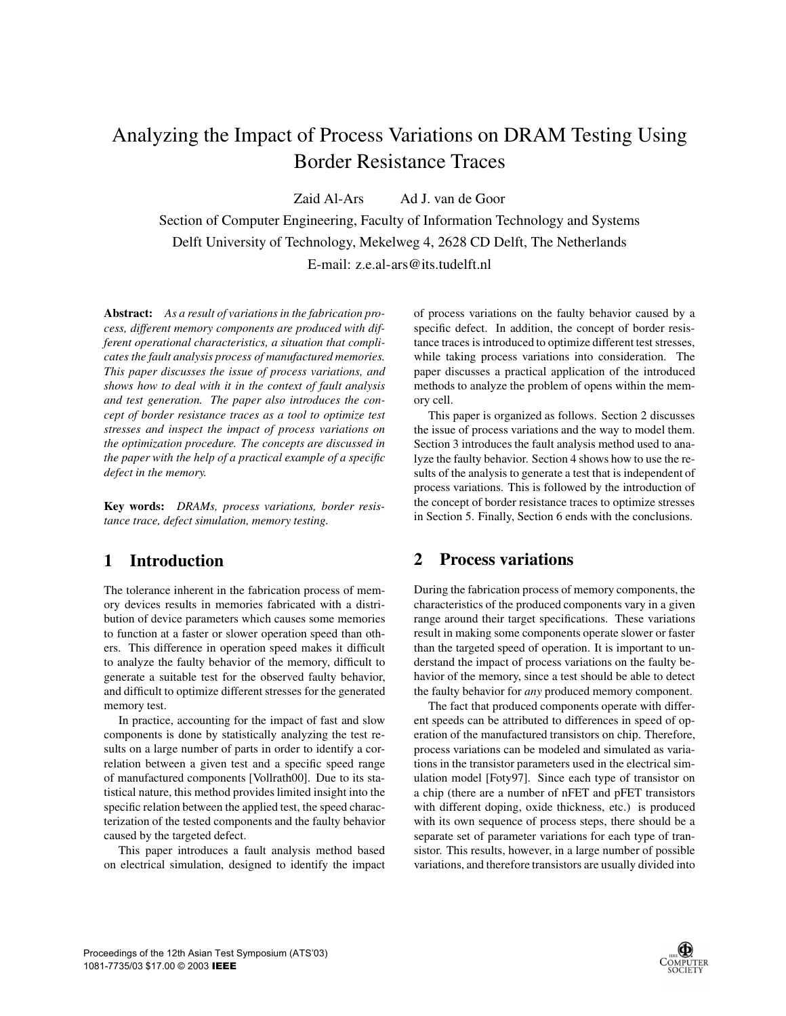# Analyzing the Impact of Process Variations on DRAM Testing Using Border Resistance Traces

Zaid Al-Ars Ad J. van de Goor

Section of Computer Engineering, Faculty of Information Technology and Systems Delft University of Technology, Mekelweg 4, 2628 CD Delft, The Netherlands E-mail: z.e.al-ars@its.tudelft.nl

**Abstract:** *As a result of variations in the fabrication process, different memory components are produced with different operational characteristics, a situation that complicates the fault analysis process of manufactured memories. This paper discusses the issue of process variations, and shows how to deal with it in the context of fault analysis and test generation. The paper also introduces the concept of border resistance traces as a tool to optimize test stresses and inspect the impact of process variations on the optimization procedure. The concepts are discussed in the paper with the help of a practical example of a specific defect in the memory.*

**Key words:** *DRAMs, process variations, border resistance trace, defect simulation, memory testing.*

## **1 Introduction**

The tolerance inherent in the fabrication process of memory devices results in memories fabricated with a distribution of device parameters which causes some memories to function at a faster or slower operation speed than others. This difference in operation speed makes it difficult to analyze the faulty behavior of the memory, difficult to generate a suitable test for the observed faulty behavior, and difficult to optimize different stresses for the generated memory test.

In practice, accounting for the impact of fast and slow components is done by statistically analyzing the test results on a large number of parts in order to identify a correlation between a given test and a specific speed range of manufactured components [Vollrath00]. Due to its statistical nature, this method provides limited insight into the specific relation between the applied test, the speed characterization of the tested components and the faulty behavior caused by the targeted defect.

This paper introduces a fault analysis method based on electrical simulation, designed to identify the impact of process variations on the faulty behavior caused by a specific defect. In addition, the concept of border resistance traces is introduced to optimize different test stresses, while taking process variations into consideration. The paper discusses a practical application of the introduced methods to analyze the problem of opens within the memory cell.

This paper is organized as follows. Section 2 discusses the issue of process variations and the way to model them. Section 3 introduces the fault analysis method used to analyze the faulty behavior. Section 4 shows how to use the results of the analysis to generate a test that is independent of process variations. This is followed by the introduction of the concept of border resistance traces to optimize stresses in Section 5. Finally, Section 6 ends with the conclusions.

## **2 Process variations**

During the fabrication process of memory components, the characteristics of the produced components vary in a given range around their target specifications. These variations result in making some components operate slower or faster than the targeted speed of operation. It is important to understand the impact of process variations on the faulty behavior of the memory, since a test should be able to detect the faulty behavior for *any* produced memory component.

The fact that produced components operate with different speeds can be attributed to differences in speed of operation of the manufactured transistors on chip. Therefore, process variations can be modeled and simulated as variations in the transistor parameters used in the electrical simulation model [Foty97]. Since each type of transistor on a chip (there are a number of nFET and pFET transistors with different doping, oxide thickness, etc.) is produced with its own sequence of process steps, there should be a separate set of parameter variations for each type of transistor. This results, however, in a large number of possible variations, and therefore transistors are usually divided into

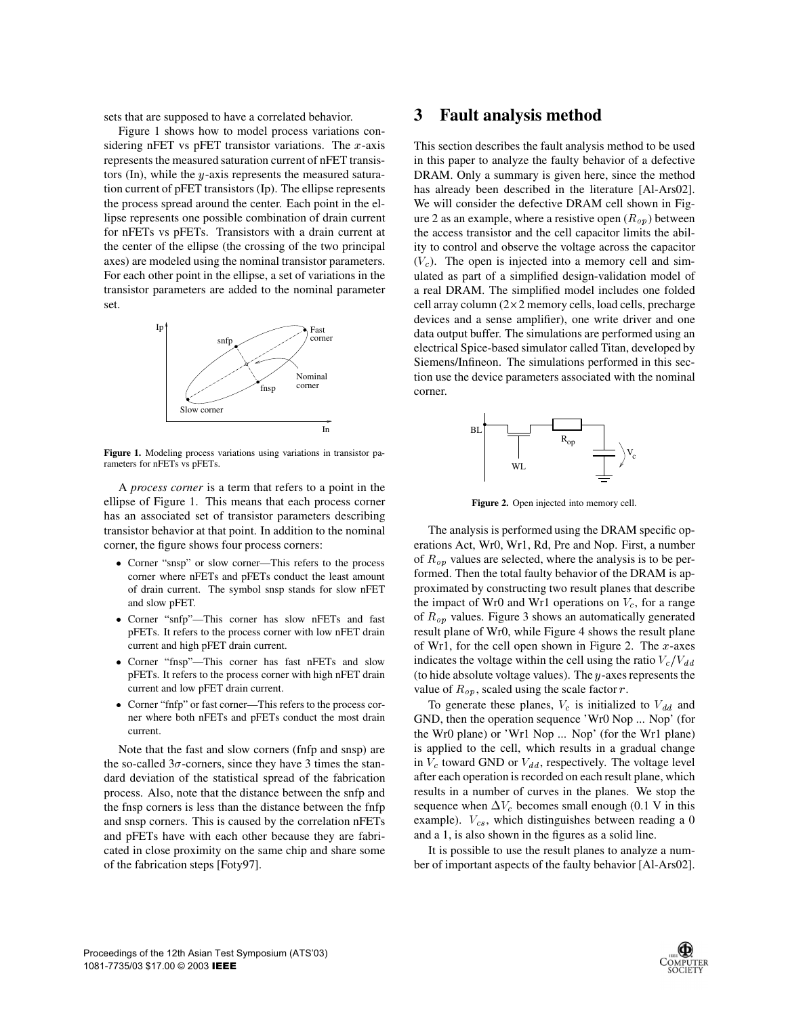sets that are supposed to have a correlated behavior.

Figure 1 shows how to model process variations considering nFET vs pFET transistor variations. The  $x$ -axis represents the measured saturation current of nFET transistors (In), while the  $y$ -axis represents the measured saturation current of pFET transistors (Ip). The ellipse represents the process spread around the center. Each point in the ellipse represents one possible combination of drain current for nFETs vs pFETs. Transistors with a drain current at the center of the ellipse (the crossing of the two principal axes) are modeled using the nominal transistor parameters. For each other point in the ellipse, a set of variations in the transistor parameters are added to the nominal parameter set.



**Figure 1.** Modeling process variations using variations in transistor parameters for nFETs vs pFETs.

A *process corner* is a term that refers to a point in the ellipse of Figure 1. This means that each process corner has an associated set of transistor parameters describing transistor behavior at that point. In addition to the nominal corner, the figure shows four process corners:

- Corner "snsp" or slow corner—This refers to the process corner where nFETs and pFETs conduct the least amount of drain current. The symbol snsp stands for slow nFET and slow pFET.
- Corner "snfp"—This corner has slow nFETs and fast pFETs. It refers to the process corner with low nFET drain current and high pFET drain current.
- Corner "fnsp"—This corner has fast nFETs and slow pFETs. It refers to the process corner with high nFET drain current and low pFET drain current.
- Corner "fnfp" or fast corner—This refers to the process corner where both nFETs and pFETs conduct the most drain current.

Note that the fast and slow corners (fnfp and snsp) are the so-called  $3\sigma$ -corners, since they have 3 times the standard deviation of the statistical spread of the fabrication process. Also, note that the distance between the snfp and the fnsp corners is less than the distance between the fnfp and snsp corners. This is caused by the correlation nFETs and pFETs have with each other because they are fabricated in close proximity on the same chip and share some of the fabrication steps [Foty97].

#### **3 Fault analysis method**

This section describes the fault analysis method to be used in this paper to analyze the faulty behavior of a defective DRAM. Only a summary is given here, since the method has already been described in the literature [Al-Ars02]. We will consider the defective DRAM cell shown in Figure 2 as an example, where a resistive open  $(R_{op})$  between the access transistor and the cell capacitor limits the ability to control and observe the voltage across the capacitor  $(V<sub>c</sub>)$ . The open is injected into a memory cell and simulated as part of a simplified design-validation model of a real DRAM. The simplified model includes one folded cell array column  $(2\times2$  memory cells, load cells, precharge devices and a sense amplifier), one write driver and one data output buffer. The simulations are performed using an electrical Spice-based simulator called Titan, developed by Siemens/Infineon. The simulations performed in this section use the device parameters associated with the nominal corner.



**Figure 2.** Open injected into memory cell.

The analysis is performed using the DRAM specific operations Act, Wr0, Wr1, Rd, Pre and Nop. First, a number of  $R_{op}$  values are selected, where the analysis is to be performed. Then the total faulty behavior of the DRAM is approximated by constructing two result planes that describe the impact of Wr0 and Wr1 operations on  $V_c$ , for a range of  $R_{op}$  values. Figure 3 shows an automatically generated result plane of Wr0, while Figure 4 shows the result plane of Wr1, for the cell open shown in Figure 2. The  $x$ -axes indicates the voltage within the cell using the ratio  $V_c/V_{dd}$ (to hide absolute voltage values). The  $y$ -axes represents the value of  $R_{op}$ , scaled using the scale factor r.

To generate these planes,  $V_c$  is initialized to  $V_{dd}$  and GND, then the operation sequence 'Wr0 Nop ... Nop' (for the Wr0 plane) or 'Wr1 Nop ... Nop' (for the Wr1 plane) is applied to the cell, which results in a gradual change in  $V_c$  toward GND or  $V_{dd}$ , respectively. The voltage level after each operation is recorded on each result plane, which results in a number of curves in the planes. We stop the sequence when  $\Delta V_c$  becomes small enough (0.1 V in this example).  $V_{cs}$ , which distinguishes between reading a 0 and a 1, is also shown in the figures as a solid line.

It is possible to use the result planes to analyze a number of important aspects of the faulty behavior [Al-Ars02].

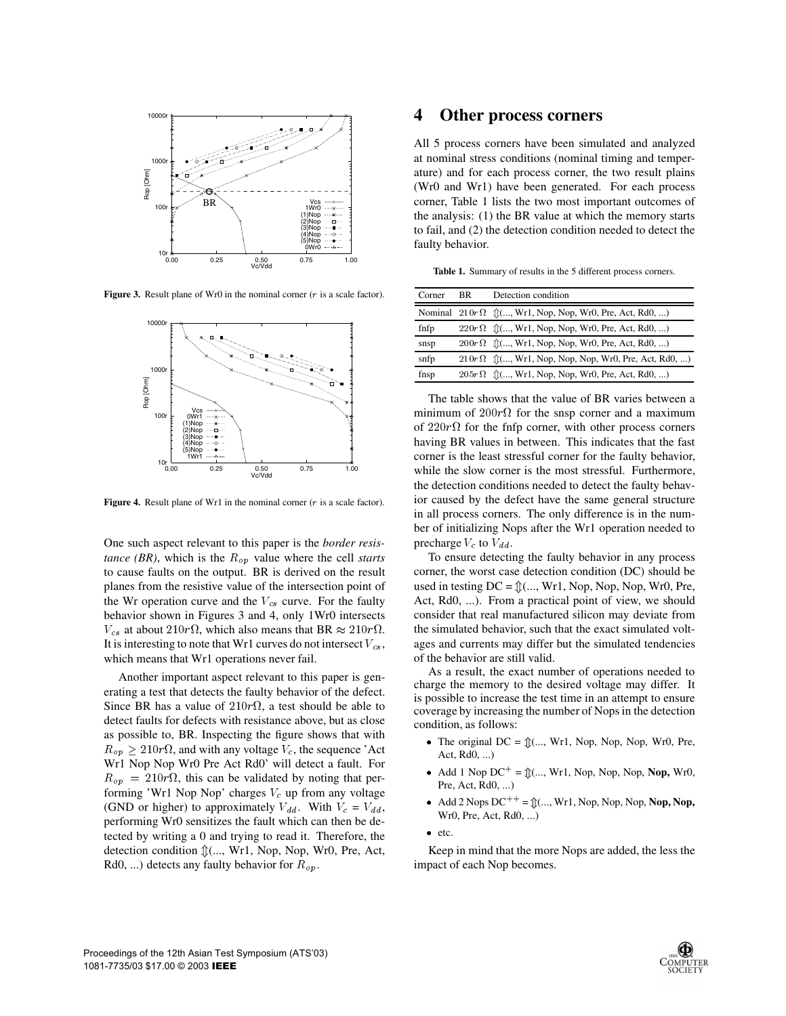

**Figure 3.** Result plane of Wr0 in the nominal corner ( $r$  is a scale factor).



**Figure 4.** Result plane of Wr1 in the nominal corner ( $r$  is a scale factor).

One such aspect relevant to this paper is the *border resistance (BR)*, which is the  $R_{op}$  value where the cell *starts* to cause faults on the output. BR is derived on the result planes from the resistive value of the intersection point of the Wr operation curve and the  $V_{cs}$  curve. For the faulty behavior shown in Figures 3 and 4, only 1Wr0 intersects  $V_{cs}$  at about 210 $r\Omega$ , which also means that BR  $\approx 210r\Omega$ . the It is interesting to note that Wr1 curves do not intersect  $V_{cs}$ , which means that Wr1 operations never fail.

Another important aspect relevant to this paper is generating a test that detects the faulty behavior of the defect. Since BR has a value of  $210r\Omega$ , a test should be able to detect faults for defects with resistance above, but as close as possible to, BR. Inspecting the figure shows that with  $R_{op} \ge 210r\Omega$ , and with any voltage  $V_c$ , the sequence 'Act Wr1 Nop Nop Wr0 Pre Act Rd0' will detect a fault. For  $R_{op} = 210r\Omega$ , this can be validated by noting that performing 'Wr1 Nop Nop' charges  $V_c$  up from any voltage (GND or higher) to approximately  $V_{dd}$ . With  $V_c = V_{dd}$ , performing Wr0 sensitizes the fault which can then be detected by writing a 0 and trying to read it. Therefore, the detection condition  $\text{L}(\ldots, Wr1, Nop, Nop, Wr0, Pre, Act,$ Rd0, ...) detects any faulty behavior for  $R_{op}$ .

#### **4 Other process corners**

All 5 process corners have been simulated and analyzed at nominal stress conditions (nominal timing and temperature) and for each process corner, the two result plains (Wr0 and Wr1) have been generated. For each process corner, Table 1 lists the two most important outcomes of the analysis: (1) the BR value at which the memory starts to fail, and (2) the detection condition needed to detect the faulty behavior.

**Table 1.** Summary of results in the 5 different process corners.

| Corner | BR. | Detection condition                                                       |
|--------|-----|---------------------------------------------------------------------------|
|        |     | Nominal $210r\Omega$ $\hat{\psi}$ (, Wr1, Nop, Nop, Wr0, Pre, Act, Rd0, ) |
| fnfp   |     | $220r\Omega$ $\hat{L}$ (, Wr1, Nop, Nop, Wr0, Pre, Act, Rd0, )            |
| snsp   |     | $200r\Omega$ $\hat{\mathbb{L}}$ (, Wr1, Nop, Nop, Wr0, Pre, Act, Rd0, )   |
| snfp   |     | $210r\Omega$ $\hat{\mu}$ (, Wr1, Nop, Nop, Nop, Wr0, Pre, Act, Rd0, )     |
| fnsp   |     | $205r\Omega$ $\hat{\mathbb{I}}$ (, Wr1, Nop, Nop, Wr0, Pre, Act, Rd0, )   |

The table shows that the value of BR varies between a minimum of  $200r\Omega$  for the snsp corner and a maximum of  $220r\Omega$  for the fnfp corner, with other process corners having BR values in between. This indicates that the fast corner is the least stressful corner for the faulty behavior, while the slow corner is the most stressful. Furthermore, the detection conditions needed to detect the faulty behavior caused by the defect have the same general structure in all process corners. The only difference is in the number of initializing Nops after the Wr1 operation needed to precharge  $V_c$  to  $V_{dd}$ .

To ensure detecting the faulty behavior in any process corner, the worst case detection condition (DC) should be used in testing  $DC = \frac{\hat{\pi}}{\sqrt{1 + \frac{1}{\pi}}}$ , Nop, Nop, Nop, Wr0, Pre, Act, Rd0, ...). From a practical point of view, we should consider that real manufactured silicon may deviate from the simulated behavior, such that the exact simulated voltages and currents may differ but the simulated tendencies of the behavior are still valid.

As a result, the exact number of operations needed to charge the memory to the desired voltage may differ. It is possible to increase the test time in an attempt to ensure coverage by increasing the number of Nops in the detection condition, as follows:

- The original  $DC = \text{D}(\dots, Wr1, Nop, Nop, Nop, Wr0, Pre,$ Act, Rd0, ...)
- Add 1 Nop  $DC^+ = \text{ft}(\dots, Wr1, Nop, Nop, Nop, Nop, Nop, Wr0,$ Pre, Act, Rd0, ...)
- $\bullet$  Add 2 Nops  $DC^{++} = \text{ft}(\dots, Wr1, Nop, Nop, Nop, Nop, Nop, Nop)$ Wr0, Pre, Act, Rd0, ...)
- $etc.$

Keep in mind that the more Nops are added, the less the impact of each Nop becomes.